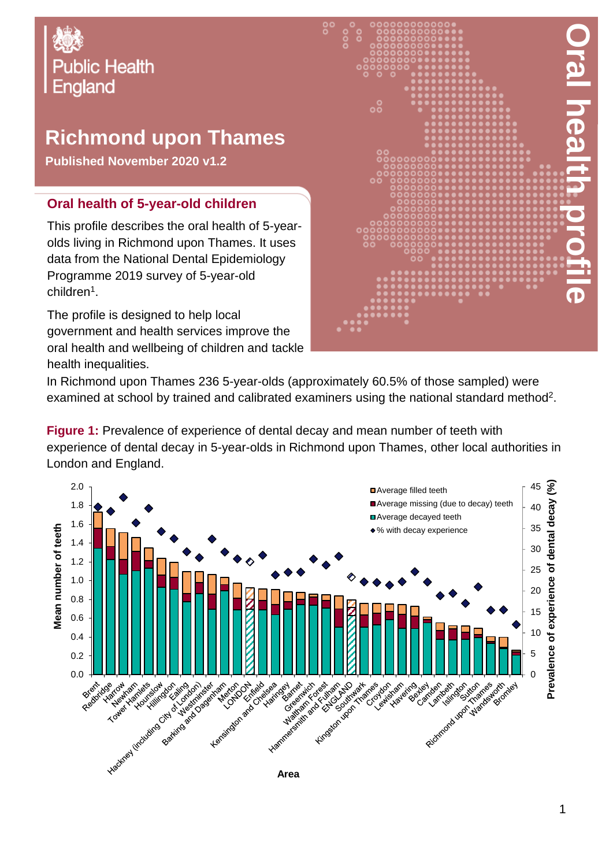

## **Richmond upon Thames**

**Published November 2020 v1.2**

## **Oral health of 5-year-old children**

This profile describes the oral health of 5-yearolds living in Richmond upon Thames. It uses data from the National Dental Epidemiology Programme 2019 survey of 5-year-old children<sup>1</sup>.

The profile is designed to help local government and health services improve the oral health and wellbeing of children and tackle health inequalities.



In Richmond upon Thames 236 5-year-olds (approximately 60.5% of those sampled) were examined at school by trained and calibrated examiners using the national standard method<sup>2</sup>.

**Figure 1:** Prevalence of experience of dental decay and mean number of teeth with experience of dental decay in 5-year-olds in Richmond upon Thames, other local authorities in London and England.

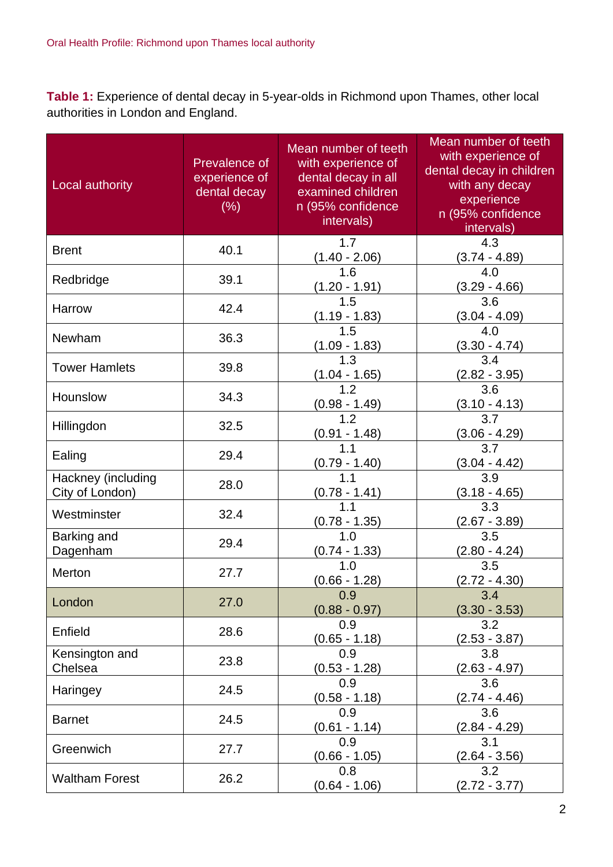**Table 1:** Experience of dental decay in 5-year-olds in Richmond upon Thames, other local authorities in London and England.

| Local authority                       | Prevalence of<br>experience of<br>dental decay<br>(%) | Mean number of teeth<br>with experience of<br>dental decay in all<br>examined children<br>n (95% confidence<br>intervals) | Mean number of teeth<br>with experience of<br>dental decay in children<br>with any decay<br>experience<br>n (95% confidence<br>intervals) |
|---------------------------------------|-------------------------------------------------------|---------------------------------------------------------------------------------------------------------------------------|-------------------------------------------------------------------------------------------------------------------------------------------|
| <b>Brent</b>                          | 40.1                                                  | 1.7<br>$(1.40 - 2.06)$                                                                                                    | 4.3<br>$(3.74 - 4.89)$                                                                                                                    |
| Redbridge                             | 39.1                                                  | 1.6<br>$(1.20 - 1.91)$                                                                                                    | 4.0<br>$(3.29 - 4.66)$                                                                                                                    |
| Harrow                                | 42.4                                                  | 1.5<br>$(1.19 - 1.83)$                                                                                                    | 3.6<br>$(3.04 - 4.09)$                                                                                                                    |
| Newham                                | 36.3                                                  | 1.5<br>$(1.09 - 1.83)$                                                                                                    | 4.0<br>$(3.30 - 4.74)$                                                                                                                    |
| <b>Tower Hamlets</b>                  | 39.8                                                  | 1.3<br>$(1.04 - 1.65)$                                                                                                    | 3.4<br>$(2.82 - 3.95)$                                                                                                                    |
| Hounslow                              | 34.3                                                  | 1.2<br>$(0.98 - 1.49)$                                                                                                    | 3.6<br>$(3.10 - 4.13)$                                                                                                                    |
| Hillingdon                            | 32.5                                                  | 1.2<br>$(0.91 - 1.48)$                                                                                                    | 3.7<br>$(3.06 - 4.29)$                                                                                                                    |
| Ealing                                | 29.4                                                  | 1.1<br>$(0.79 - 1.40)$                                                                                                    | 3.7<br>$(3.04 - 4.42)$                                                                                                                    |
| Hackney (including<br>City of London) | 28.0                                                  | 1.1<br>$(0.78 - 1.41)$                                                                                                    | 3.9<br>$(3.18 - 4.65)$                                                                                                                    |
| Westminster                           | 32.4                                                  | 1.1<br>$(0.78 - 1.35)$                                                                                                    | 3.3<br>$(2.67 - 3.89)$                                                                                                                    |
| Barking and<br>Dagenham               | 29.4                                                  | 1.0<br>$(0.74 - 1.33)$                                                                                                    | 3.5<br>$(2.80 - 4.24)$                                                                                                                    |
| Merton                                | 27.7                                                  | 1.0<br>$(0.66 - 1.28)$                                                                                                    | 3.5<br>$(2.72 - 4.30)$                                                                                                                    |
| London                                | 27.0                                                  | 0.9<br>$(0.88 - 0.97)$                                                                                                    | 3.4<br>$(3.30 - 3.53)$                                                                                                                    |
| Enfield                               | 28.6                                                  | 0.9<br>$(0.65 - 1.18)$                                                                                                    | 3.2<br>$(2.53 - 3.87)$                                                                                                                    |
| Kensington and<br>Chelsea             | 23.8                                                  | 0.9<br>$(0.53 - 1.28)$                                                                                                    | 3.8<br>(2.63 - 4.97)                                                                                                                      |
| Haringey                              | 24.5                                                  | 0.9<br>$(0.58 - 1.18)$                                                                                                    | 3.6<br>$(2.74 - 4.46)$                                                                                                                    |
| <b>Barnet</b>                         | 24.5                                                  | 0.9<br>$(0.61 - 1.14)$                                                                                                    | 3.6<br>$(2.84 - 4.29)$                                                                                                                    |
| Greenwich                             | 27.7                                                  | 0.9<br>$(0.66 - 1.05)$                                                                                                    | 3.1<br>$(2.64 - 3.56)$                                                                                                                    |
| <b>Waltham Forest</b>                 | 26.2                                                  | 0.8<br>$(0.64 - 1.06)$                                                                                                    | 3.2<br>$(2.72 - 3.77)$                                                                                                                    |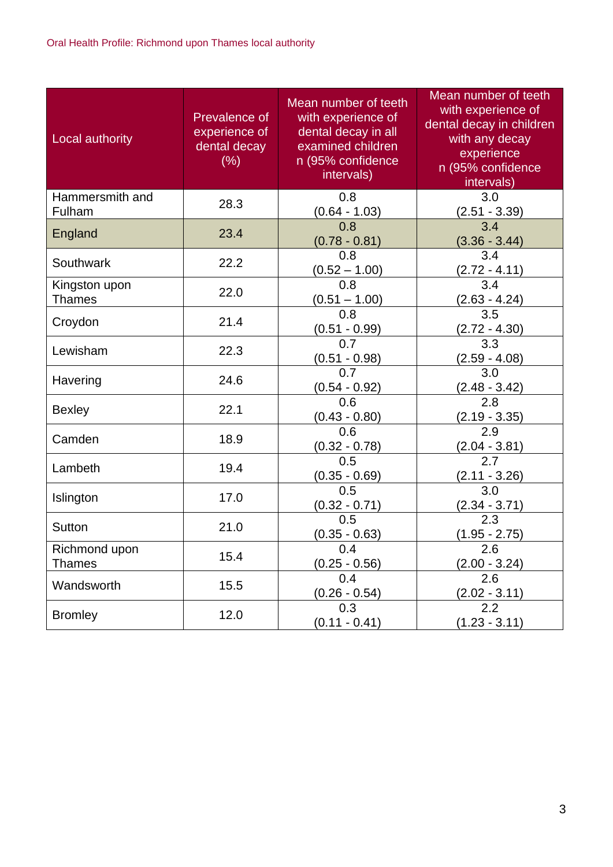| Local authority                | Prevalence of<br>experience of<br>dental decay<br>(%) | Mean number of teeth<br>with experience of<br>dental decay in all<br>examined children<br>n (95% confidence<br>intervals) | Mean number of teeth<br>with experience of<br>dental decay in children<br>with any decay<br>experience<br>n (95% confidence<br>intervals) |
|--------------------------------|-------------------------------------------------------|---------------------------------------------------------------------------------------------------------------------------|-------------------------------------------------------------------------------------------------------------------------------------------|
| Hammersmith and<br>Fulham      | 28.3                                                  | 0.8<br>$(0.64 - 1.03)$                                                                                                    | 3.0<br>$(2.51 - 3.39)$                                                                                                                    |
| England                        | 23.4                                                  | 0.8<br>$(0.78 - 0.81)$                                                                                                    | 3.4<br>$(3.36 - 3.44)$                                                                                                                    |
| Southwark                      | 22.2                                                  | 0.8<br>$(0.52 - 1.00)$                                                                                                    | 3.4<br><u>(2.72 - 4.11)</u>                                                                                                               |
| Kingston upon<br><b>Thames</b> | 22.0                                                  | 0.8<br>$(0.51 - 1.00)$                                                                                                    | 3.4<br>$(2.63 - 4.24)$                                                                                                                    |
| Croydon                        | 21.4                                                  | 0.8<br>$(0.51 - 0.99)$                                                                                                    | 3.5<br>$(2.72 - 4.30)$                                                                                                                    |
| Lewisham                       | 22.3                                                  | 0.7<br>$(0.51 - 0.98)$                                                                                                    | $\overline{3.3}$<br>(2.59 - 4.08)                                                                                                         |
| Havering                       | 24.6                                                  | 0.7<br>$(0.54 - 0.92)$                                                                                                    | 3.0<br>(2.48 - 3.42)                                                                                                                      |
| <b>Bexley</b>                  | 22.1                                                  | 0.6<br>$(0.43 - 0.80)$                                                                                                    | 2.8<br>(2.19 - 3.35)                                                                                                                      |
| Camden                         | 18.9                                                  | 0.6<br>$(0.32 - 0.78)$                                                                                                    | $\overline{2.9}$<br>$(2.04 - 3.81)$                                                                                                       |
| Lambeth                        | 19.4                                                  | 0.5<br>$(0.35 - 0.69)$                                                                                                    | 2.7<br>$(2.11 - 3.26)$                                                                                                                    |
| Islington                      | 17.0                                                  | 0.5<br>$(0.32 - 0.71)$                                                                                                    | 3.0<br>$(2.34 - 3.71)$                                                                                                                    |
| <b>Sutton</b>                  | 21.0                                                  | 0.5<br>$(0.35 - 0.63)$                                                                                                    | $\overline{2.3}$<br>$(1.95 - 2.75)$                                                                                                       |
| Richmond upon<br><b>Thames</b> | 15.4                                                  | 0.4<br>$(0.25 - 0.56)$                                                                                                    | 2.6<br>$(2.00 - 3.24)$                                                                                                                    |
| Wandsworth                     | 15.5                                                  | 0.4<br>$(0.26 - 0.54)$                                                                                                    | 2.6<br>$(2.02 - 3.11)$                                                                                                                    |
| <b>Bromley</b>                 | 12.0                                                  | 0.3<br>$(0.11 - 0.41)$                                                                                                    | 2.2<br>$(1.23 - 3.11)$                                                                                                                    |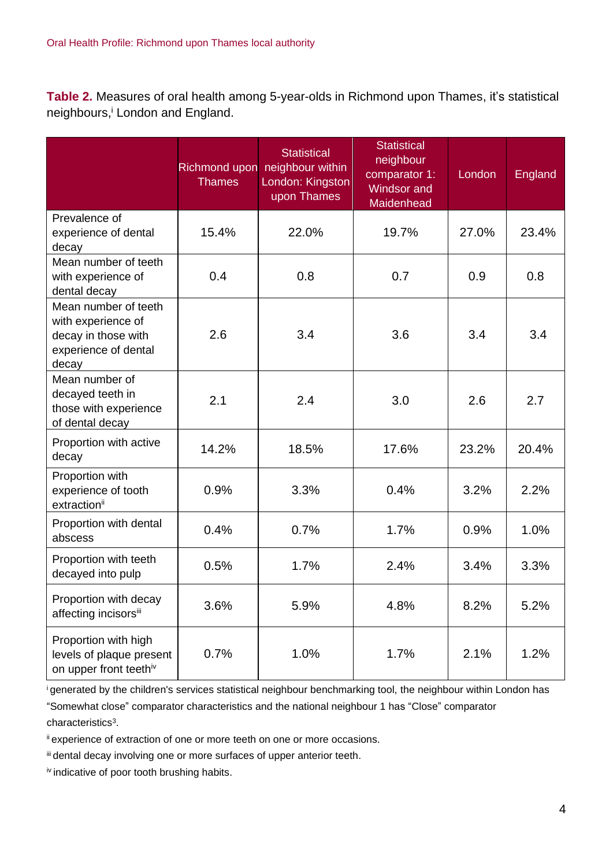**Table 2.** Measures of oral health among 5-year-olds in Richmond upon Thames, it's statistical neighbours, <sup>i</sup> London and England.

|                                                                                                    | <b>Thames</b> | <b>Statistical</b><br>Richmond upon neighbour within<br>London: Kingston<br>upon Thames | <b>Statistical</b><br>neighbour<br>comparator 1:<br>Windsor and<br>Maidenhead | London | England |
|----------------------------------------------------------------------------------------------------|---------------|-----------------------------------------------------------------------------------------|-------------------------------------------------------------------------------|--------|---------|
| Prevalence of<br>experience of dental<br>decay                                                     | 15.4%         | 22.0%                                                                                   | 19.7%                                                                         | 27.0%  | 23.4%   |
| Mean number of teeth<br>with experience of<br>dental decay                                         | 0.4           | 0.8                                                                                     | 0.7                                                                           | 0.9    | 0.8     |
| Mean number of teeth<br>with experience of<br>decay in those with<br>experience of dental<br>decay | 2.6           | 3.4                                                                                     | 3.6                                                                           | 3.4    | 3.4     |
| Mean number of<br>decayed teeth in<br>those with experience<br>of dental decay                     | 2.1           | 2.4                                                                                     | 3.0                                                                           | 2.6    | 2.7     |
| Proportion with active<br>decay                                                                    | 14.2%         | 18.5%                                                                                   | 17.6%                                                                         | 23.2%  | 20.4%   |
| Proportion with<br>experience of tooth<br>extraction <sup>ii</sup>                                 | 0.9%          | 3.3%                                                                                    | 0.4%                                                                          | 3.2%   | 2.2%    |
| Proportion with dental<br>abscess                                                                  | 0.4%          | 0.7%                                                                                    | 1.7%                                                                          | 0.9%   | 1.0%    |
| Proportion with teeth<br>decayed into pulp                                                         | 0.5%          | 1.7%                                                                                    | 2.4%                                                                          | 3.4%   | 3.3%    |
| Proportion with decay<br>affecting incisorsii                                                      | 3.6%          | 5.9%                                                                                    | 4.8%                                                                          | 8.2%   | 5.2%    |
| Proportion with high<br>levels of plaque present<br>on upper front teethiv                         | 0.7%          | 1.0%                                                                                    | 1.7%                                                                          | 2.1%   | 1.2%    |

<sup>i</sup>generated by the children's services statistical neighbour benchmarking tool, the neighbour within London has

"Somewhat close" comparator characteristics and the national neighbour 1 has "Close" comparator characteristics<sup>3</sup>.

ii experience of extraction of one or more teeth on one or more occasions.

iii dental decay involving one or more surfaces of upper anterior teeth.

iv indicative of poor tooth brushing habits.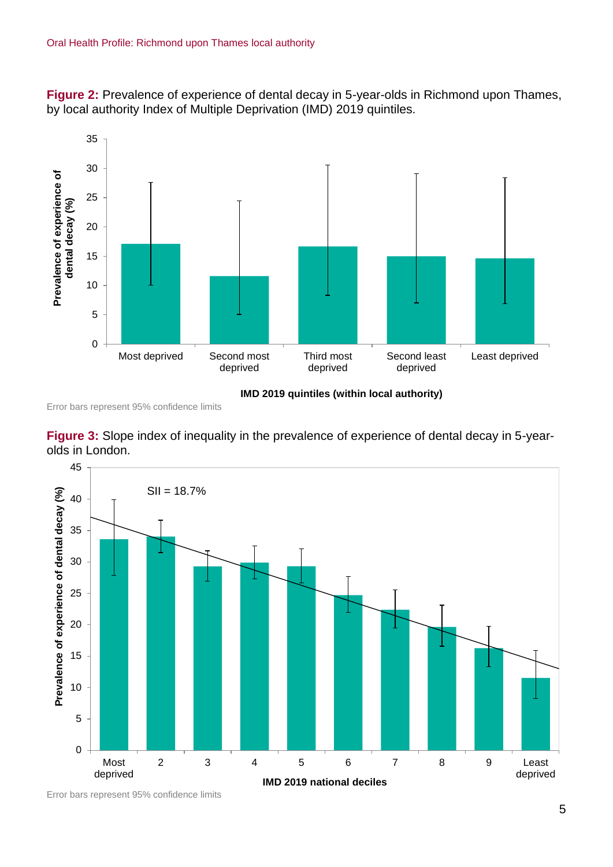**Figure 2:** Prevalence of experience of dental decay in 5-year-olds in Richmond upon Thames, by local authority Index of Multiple Deprivation (IMD) 2019 quintiles.



**IMD 2019 quintiles (within local authority)**

Error bars represent 95% confidence limits





Error bars represent 95% confidence limits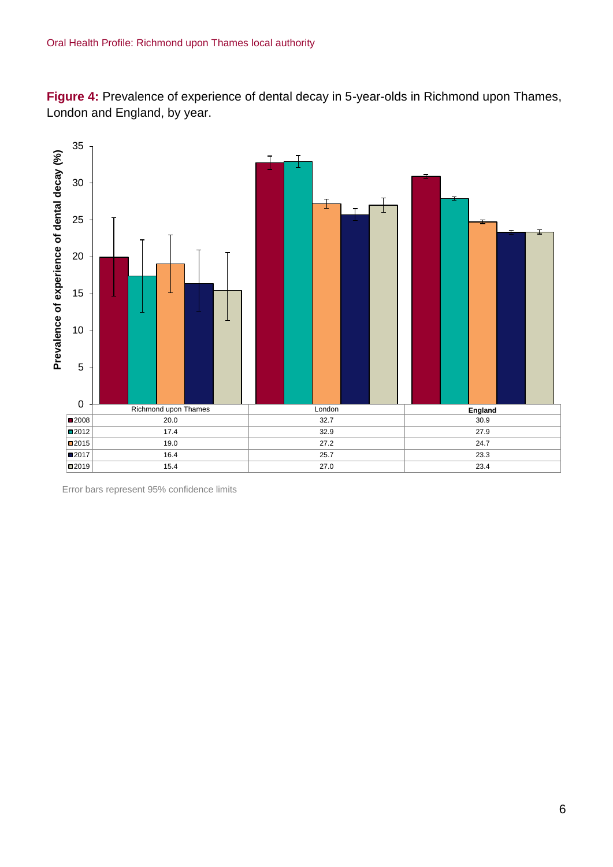**Figure 4:** Prevalence of experience of dental decay in 5-year-olds in Richmond upon Thames, London and England, by year.



Error bars represent 95% confidence limits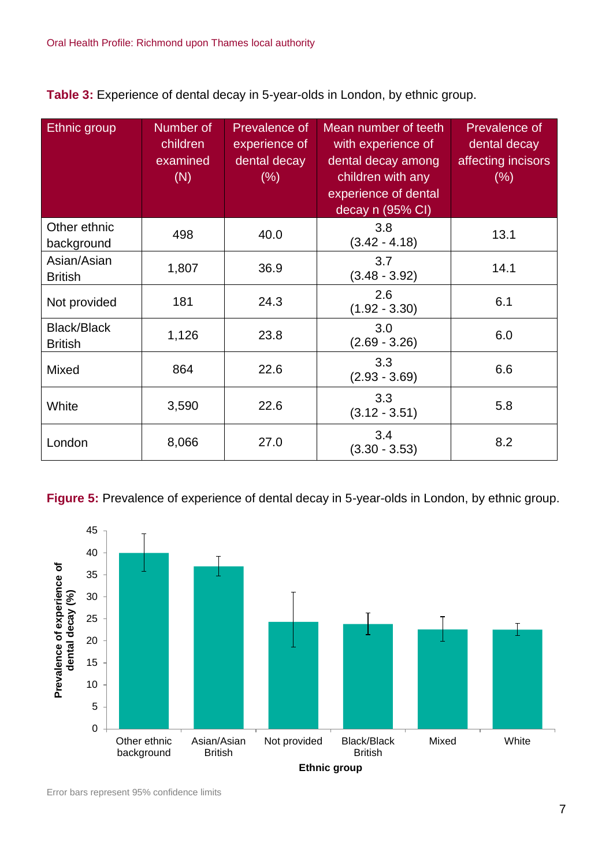**Table 3:** Experience of dental decay in 5-year-olds in London, by ethnic group.

| Ethnic group                         | Number of<br>children<br>examined<br>(N) | Prevalence of<br>experience of<br>dental decay<br>$(\% )$ | Mean number of teeth<br>with experience of<br>dental decay among<br>children with any<br>experience of dental<br>decay n (95% CI) | Prevalence of<br>dental decay<br>affecting incisors<br>$(\% )$ |
|--------------------------------------|------------------------------------------|-----------------------------------------------------------|-----------------------------------------------------------------------------------------------------------------------------------|----------------------------------------------------------------|
| Other ethnic<br>background           | 498                                      | 40.0                                                      | 3.8<br>$(3.42 - 4.18)$                                                                                                            | 13.1                                                           |
| Asian/Asian<br><b>British</b>        | 1,807                                    | 36.9                                                      | 3.7<br>$(3.48 - 3.92)$                                                                                                            | 14.1                                                           |
| Not provided                         | 181                                      | 24.3                                                      | 2.6<br>$(1.92 - 3.30)$                                                                                                            | 6.1                                                            |
| <b>Black/Black</b><br><b>British</b> | 1,126                                    | 23.8                                                      | 3.0<br>$(2.69 - 3.26)$                                                                                                            | 6.0                                                            |
| <b>Mixed</b>                         | 864                                      | 22.6                                                      | 3.3<br>$(2.93 - 3.69)$                                                                                                            | 6.6                                                            |
| White                                | 3,590                                    | 22.6                                                      | 3.3<br>$(3.12 - 3.51)$                                                                                                            | 5.8                                                            |
| London                               | 8,066                                    | 27.0                                                      | 3.4<br>$(3.30 - 3.53)$                                                                                                            | 8.2                                                            |

**Figure 5:** Prevalence of experience of dental decay in 5-year-olds in London, by ethnic group.

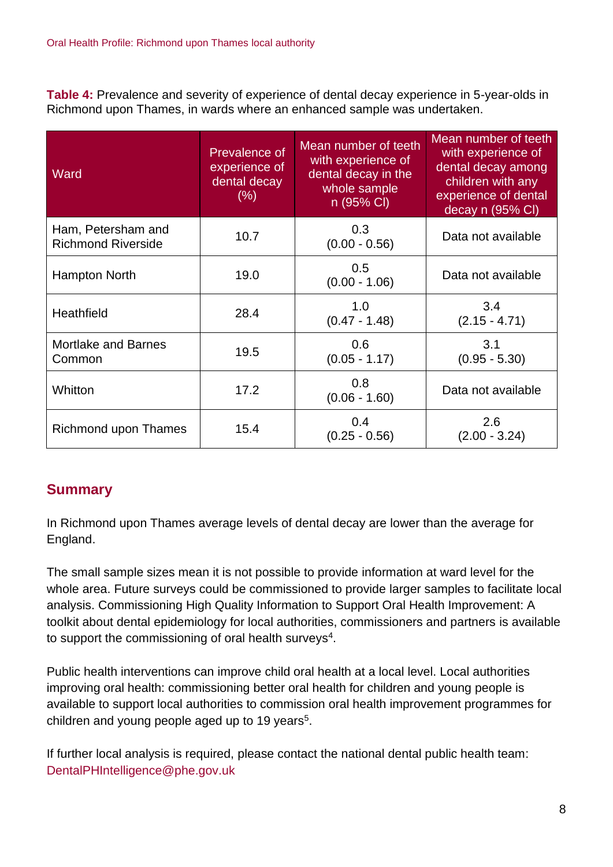**Table 4:** Prevalence and severity of experience of dental decay experience in 5-year-olds in Richmond upon Thames, in wards where an enhanced sample was undertaken.

| Ward                                            | Prevalence of<br>experience of<br>dental decay<br>(% ) | Mean number of teeth<br>with experience of<br>dental decay in the<br>whole sample<br>n (95% CI) | Mean number of teeth<br>with experience of<br>dental decay among<br>children with any<br>experience of dental<br>decay n (95% CI) |
|-------------------------------------------------|--------------------------------------------------------|-------------------------------------------------------------------------------------------------|-----------------------------------------------------------------------------------------------------------------------------------|
| Ham, Petersham and<br><b>Richmond Riverside</b> | 10.7                                                   | 0.3<br>$(0.00 - 0.56)$                                                                          | Data not available                                                                                                                |
| Hampton North                                   | 19.0                                                   | 0.5<br>$(0.00 - 1.06)$                                                                          | Data not available                                                                                                                |
| Heathfield                                      | 28.4                                                   | 1.0<br>$(0.47 - 1.48)$                                                                          | 3.4<br>$(2.15 - 4.71)$                                                                                                            |
| <b>Mortlake and Barnes</b><br>Common            | 19.5                                                   | 0.6<br>$(0.05 - 1.17)$                                                                          | 3.1<br>$(0.95 - 5.30)$                                                                                                            |
| Whitton                                         | 17.2                                                   | 0.8<br>$(0.06 - 1.60)$                                                                          | Data not available                                                                                                                |
| Richmond upon Thames                            | 15.4                                                   | 0.4<br>$(0.25 - 0.56)$                                                                          | 2.6<br>$(2.00 - 3.24)$                                                                                                            |

## **Summary**

In Richmond upon Thames average levels of dental decay are lower than the average for England.

The small sample sizes mean it is not possible to provide information at ward level for the whole area. Future surveys could be commissioned to provide larger samples to facilitate local analysis. Commissioning High Quality Information to Support Oral Health Improvement: A toolkit about dental epidemiology for local authorities, commissioners and partners is available to support the commissioning of oral health surveys<sup>4</sup>.

Public health interventions can improve child oral health at a local level. Local authorities improving oral health: commissioning better oral health for children and young people is available to support local authorities to commission oral health improvement programmes for children and young people aged up to 19 years<sup>5</sup>.

If further local analysis is required, please contact the national dental public health team: DentalPHIntelligence@phe.gov.uk